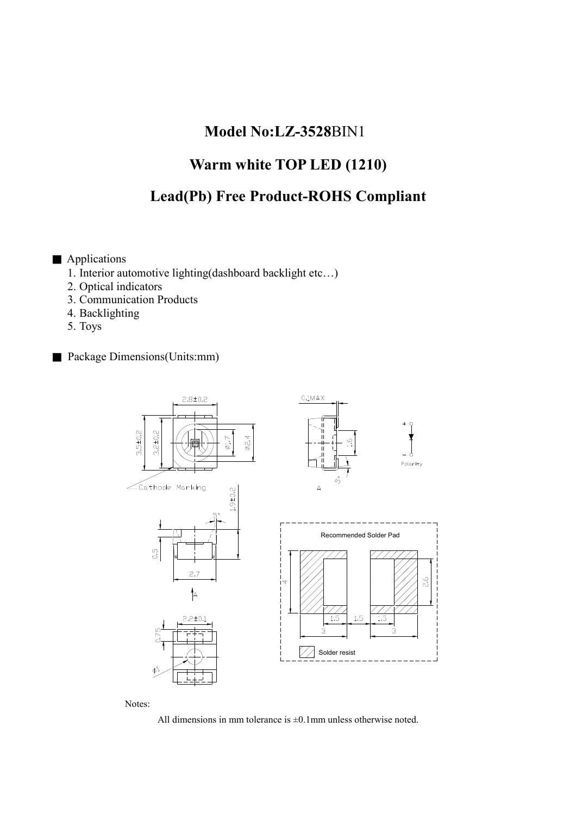## Model No:LZ-3528BIN1

# Warm white TOP LED (1210)

# Lead(Pb) Free Product-ROHS Compliant

- Applications
	- 1. Interior automotive lighting(dashboard backlight etc…)
	- 2. Optical indicators
	- 3. Communication Products
	- 4. Backlighting
	- 5. Toys
- Package Dimensions(Units:mm)



Notes:

All dimensions in mm tolerance is  $\pm 0.1$  mm unless otherwise noted.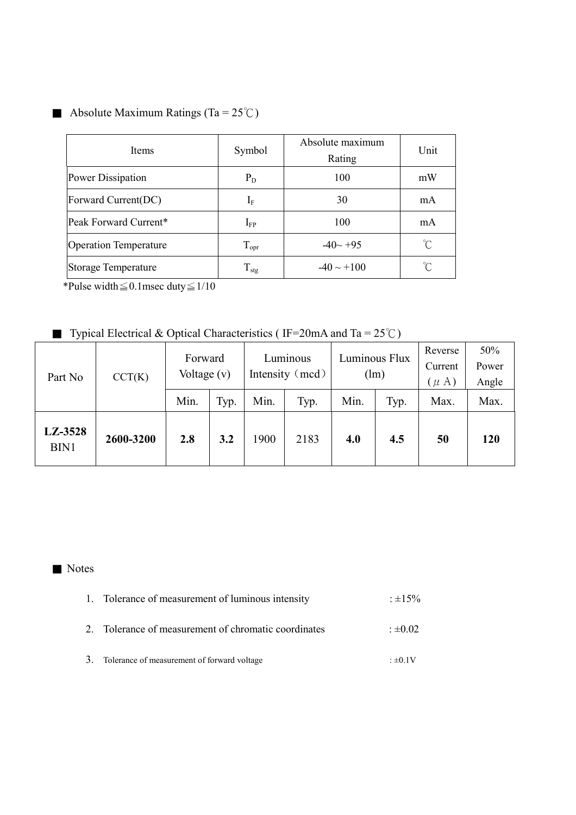## Absolute Maximum Ratings (Ta =  $25^{\circ}$ C)

| Items                        | Symbol                | Absolute maximum<br>Rating | Unit            |
|------------------------------|-----------------------|----------------------------|-----------------|
| Power Dissipation            | $P_D$                 | 100                        | mW              |
| Forward Current(DC)          | $I_{\rm F}$           | 30                         | mA              |
| Peak Forward Current*        | $\mathbf{I}_{\rm FP}$ | 100                        | mA              |
| <b>Operation Temperature</b> | $T_{\text{opr}}$      | $-40 - +95$                | °C              |
| <b>Storage Temperature</b>   | $T_{\rm stg}$         | $-40 \sim +100$            | $\int_0^\infty$ |

\*Pulse width  $\leq$  0.1 msec duty  $\leq$  1/10

■ Typical Electrical & Optical Characteristics (IF=20mA and Ta =  $25^{\circ}$ C)

| Part No         | CCT(K)    | Forward<br>Voltage $(v)$ |      | Luminous<br>Intensity (mcd) |      | Luminous Flux<br>1m |      | Reverse<br>Current<br>$(\mu A)$ | 50%<br>Power<br>Angle |
|-----------------|-----------|--------------------------|------|-----------------------------|------|---------------------|------|---------------------------------|-----------------------|
|                 |           | Min.                     | Typ. | Min.                        | Typ. | Min.                | Typ. | Max.                            | Max.                  |
| LZ-3528<br>BIN1 | 2600-3200 | 2.8                      | 3.2  | 1900                        | 2183 | 4.0                 | 4.5  | 50                              | <b>120</b>            |

### ■ Notes

| 1. Tolerance of measurement of luminous intensity    | $\pm 15\%$       |
|------------------------------------------------------|------------------|
| 2. Tolerance of measurement of chromatic coordinates | $\cdot \pm 0.02$ |

3. Tolerance of measurement of forward voltage  $\pm 0.1V$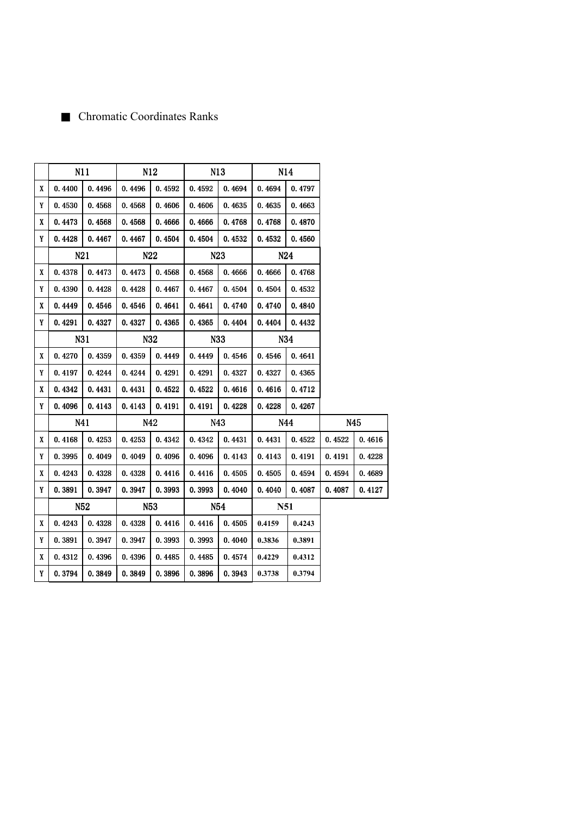## ■ Chromatic Coordinates Ranks

|   |         | N11    | N12             |        | N13     |                   | N14        |        |         |        |
|---|---------|--------|-----------------|--------|---------|-------------------|------------|--------|---------|--------|
| X | 0.4400  | 0.4496 | 0.4496          | 0.4592 | 0.4592  | 0.4694            | 0.4694     | 0.4797 |         |        |
| Y | 0.4530  | 0.4568 | 0.4568          | 0.4606 | 0.4606  | 0.4635            | 0.4635     | 0.4663 |         |        |
| X | 0.4473  | 0.4568 | 0.4568          | 0.4666 | 0.4666  | 0.4768            | 0.4768     | 0.4870 |         |        |
| Y | 0. 4428 | 0.4467 | 0.4467          | 0.4504 | 0. 4504 | 0. 4532           | 0. 4532    | 0.4560 |         |        |
|   | N21     |        | N <sub>22</sub> |        |         | N23               |            | N24    |         |        |
| X | 0.4378  | 0.4473 | 0.4473          | 0.4568 | 0.4568  | 0.4666            | 0.4666     | 0.4768 |         |        |
| Y | 0.4390  | 0.4428 | 0.4428          | 0.4467 | 0.4467  | 0.4504            | 0.4504     | 0.4532 |         |        |
| X | 0.4449  | 0.4546 | 0.4546          | 0.4641 | 0.4641  | 0.4740            | 0.4740     | 0.4840 |         |        |
| Y | 0.4291  | 0.4327 | 0.4327          | 0.4365 | 0.4365  | 0.4404            | 0.4404     | 0.4432 |         |        |
|   |         | N31    |                 | N32    |         | N33               |            | N34    |         |        |
| X | 0.4270  | 0.4359 | 0.4359          | 0.4449 | 0.4449  | 0.4546            | 0.4546     | 0.4641 |         |        |
| Y | 0.4197  | 0.4244 | 0.4244          | 0.4291 | 0.4291  | 0.4327            | 0.4327     | 0.4365 |         |        |
| X | 0.4342  | 0.4431 | 0.4431          | 0.4522 | 0.4522  | 0.4616            | 0.4616     | 0.4712 |         |        |
| Y | 0.4096  | 0.4143 | 0.4143          | 0.4191 | 0.4191  | 0.4228            | 0.4228     | 0.4267 |         |        |
|   | N41     |        |                 | N42    |         | N43<br>N44<br>N45 |            |        |         |        |
| X | 0.4168  | 0.4253 | 0.4253          | 0.4342 | 0.4342  | 0.4431            | 0.4431     | 0.4522 | 0.4522  | 0.4616 |
| Y | 0. 3995 | 0.4049 | 0.4049          | 0.4096 | 0.4096  | 0.4143            | 0.4143     | 0.4191 | 0. 4191 | 0.4228 |
| X | 0.4243  | 0.4328 | 0.4328          | 0.4416 | 0.4416  | 0.4505            | 0.4505     | 0.4594 | 0.4594  | 0.4689 |
| Y | 0. 3891 | 0.3947 | 0.3947          | 0.3993 | 0.3993  | 0.4040            | 0.4040     | 0.4087 | 0.4087  | 0.4127 |
|   |         | N52    |                 | N53    | N54     |                   | <b>N51</b> |        |         |        |
| X | 0.4243  | 0.4328 | 0.4328          | 0.4416 | 0.4416  | 0.4505            | 0.4159     | 0.4243 |         |        |
| Y | 0.3891  | 0.3947 | 0.3947          | 0.3993 | 0.3993  | 0.4040            | 0.3836     | 0.3891 |         |        |
| X | 0.4312  | 0.4396 | 0.4396          | 0.4485 | 0.4485  | 0.4574            | 0.4229     | 0.4312 |         |        |
| Y | 0.3794  | 0.3849 | 0.3849          | 0.3896 | 0.3896  | 0.3943            | 0.3738     | 0.3794 |         |        |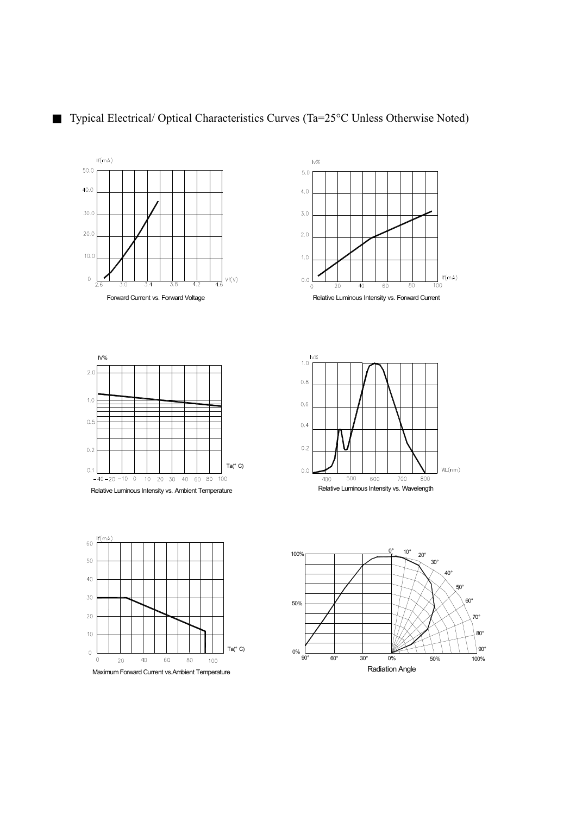



80° 70°

90°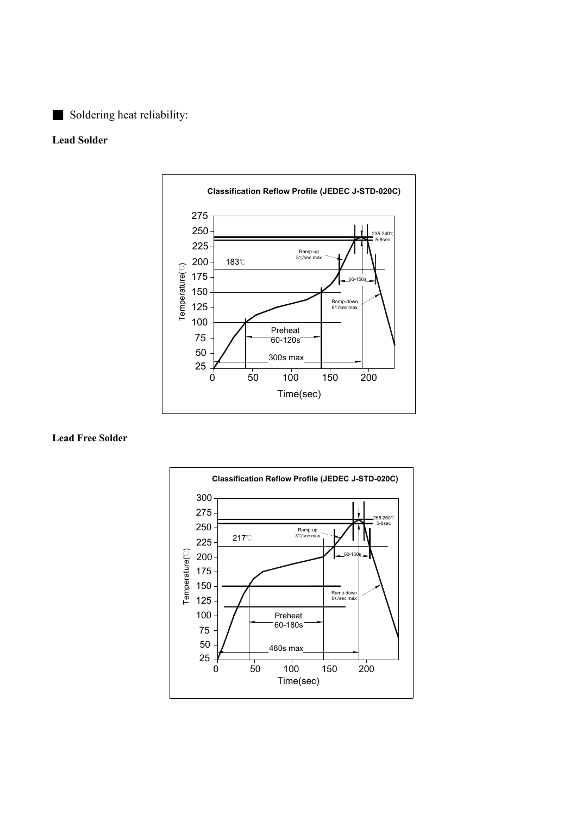### ■ Soldering heat reliability:

#### Lead Solder



#### Lead Free Solder

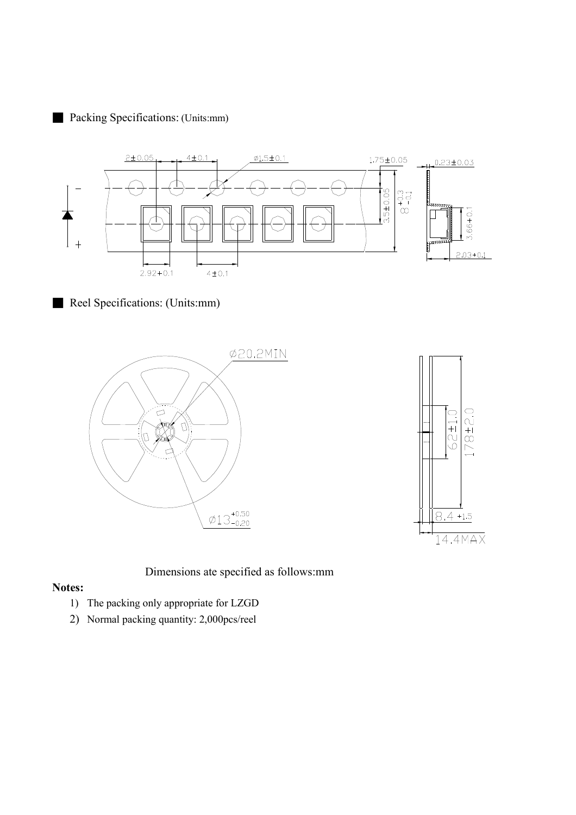### ■ Packing Specifications: (Units:mm)



■ Reel Specifications: (Units:mm)





Dimensions ate specified as follows:mm

#### Notes:

- 1) The packing only appropriate for LZGD
- 2) Normal packing quantity: 2,000pcs/reel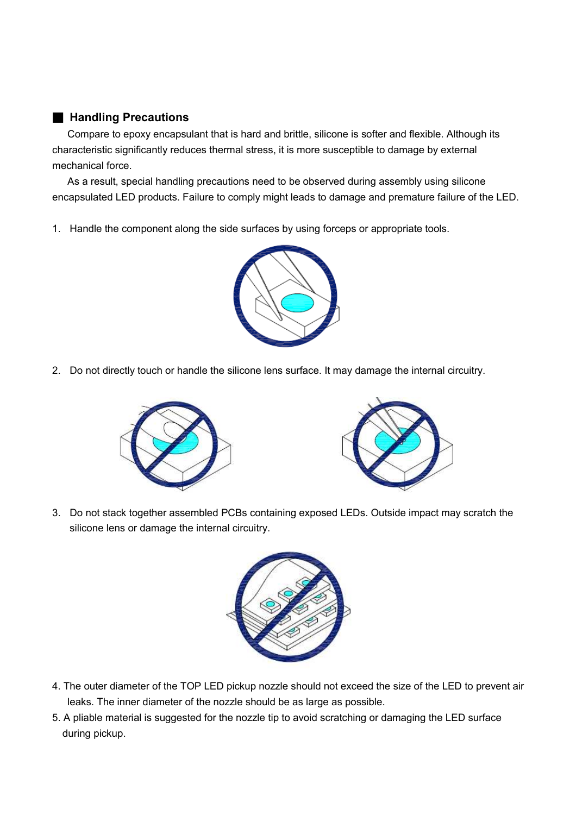### ■ Handling Precautions

Compare to epoxy encapsulant that is hard and brittle, silicone is softer and flexible. Although its characteristic significantly reduces thermal stress, it is more susceptible to damage by external mechanical force.

As a result, special handling precautions need to be observed during assembly using silicone encapsulated LED products. Failure to comply might leads to damage and premature failure of the LED.

1. Handle the component along the side surfaces by using forceps or appropriate tools.



2. Do not directly touch or handle the silicone lens surface. It may damage the internal circuitry.





3. Do not stack together assembled PCBs containing exposed LEDs. Outside impact may scratch the silicone lens or damage the internal circuitry.



- 4. The outer diameter of the TOP LED pickup nozzle should not exceed the size of the LED to prevent air leaks. The inner diameter of the nozzle should be as large as possible.
- 5. A pliable material is suggested for the nozzle tip to avoid scratching or damaging the LED surface during pickup.